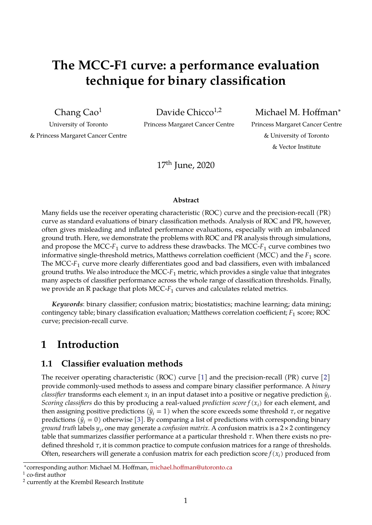# **The MCC-F1 curve: a performance evaluation technique for binary classification**

Chang Cao<sup>1</sup>

Davide Chicco $1,2$ 

Princess Margaret Cancer Centre

Michael M. Hoffman<sup>∗</sup>

University of Toronto & Princess Margaret Cancer Centre Princess Margaret Cancer Centre & University of Toronto & Vector Institute

17th June, 2020

#### **Abstract**

Many fields use the receiver operating characteristic (ROC) curve and the precision-recall (PR) curve as standard evaluations of binary classification methods. Analysis of ROC and PR, however, often gives misleading and inflated performance evaluations, especially with an imbalanced ground truth. Here, we demonstrate the problems with ROC and PR analysis through simulations, and propose the MCC- $F_1$  curve to address these drawbacks. The MCC- $F_1$  curve combines two informative single-threshold metrics, Matthews correlation coefficient (MCC) and the  $F_1$  score. The MCC- $F_1$  curve more clearly differentiates good and bad classifiers, even with imbalanced ground truths. We also introduce the MCC- $F_1$  metric, which provides a single value that integrates many aspects of classifier performance across the whole range of classification thresholds. Finally, we provide an R package that plots MCC- $F_1$  curves and calculates related metrics.

*Keywords*: binary classifier; confusion matrix; biostatistics; machine learning; data mining; contingency table; binary classification evaluation; Matthews correlation coefficient;  $F_1$  score; ROC curve; precision-recall curve.

## **1 Introduction**

### **1.1 Classifier evaluation methods**

The receiver operating characteristic (ROC) curve [\[1\]](#page-14-0) and the precision-recall (PR) curve [\[2\]](#page-14-1) provide commonly-used methods to assess and compare binary classifier performance. A *binary classifier transforms each element*  $x_i$  *in an input dataset into a positive or negative prediction*  $\widehat{y}_i$ *. Scoring classifiers* do this by producing a real-valued *prediction score* ( ) for each element, and then assigning positive predictions  $(\hat{y}_i = 1)$  when the score exceeds some threshold  $\tau$ , or negative predictions  $(\hat{y}_i = 0)$  otherwise [\[3\]](#page-14-2). By comparing a list of predictions with corresponding binary *ground truth* labels , one may generate a *confusion matrix*. A confusion matrix is a 2 × 2 contingency table that summarizes classifier performance at a particular threshold  $\tau$ . When there exists no predefined threshold  $\tau$ , it is common practice to compute confusion matrices for a range of thresholds. Often, researchers will generate a confusion matrix for each prediction score  $f(x_i)$  produced from

<sup>∗</sup> corresponding author: Michael M. Hoffman, [michael.hoffman@utoronto.ca](mailto:michael.hoffman@utoronto.ca)

 $^1$  co-first author

<sup>&</sup>lt;sup>2</sup> currently at the Krembil Research Institute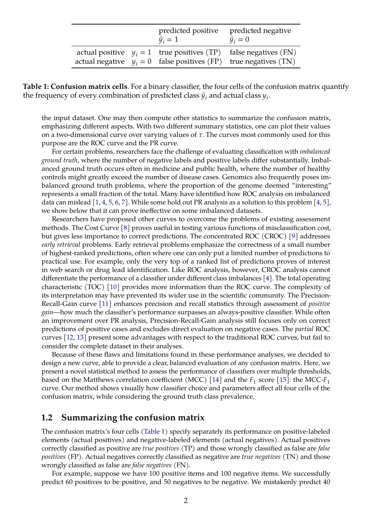|  | predicted positive<br>$\hat{y}_i = 1$ | predicted negative<br>$\hat{y}_i = 0$                                                                                                    |
|--|---------------------------------------|------------------------------------------------------------------------------------------------------------------------------------------|
|  |                                       | actual positive $y_i = 1$ true positives (TP) false negatives (FN)<br>actual negative $y_i = 0$ false positives (FP) true negatives (TN) |

<span id="page-1-0"></span>**Table 1: Confusion matrix cells**. For a binary classifier, the four cells of the confusion matrix quantify the frequency of every combination of predicted class  $\hat{y}_i$  and actual class  $y_i$ .

the input dataset. One may then compute other statistics to summarize the confusion matrix, emphasizing different aspects. With two different summary statistics, one can plot their values on a two-dimensional curve over varying values of  $\tau$ . The curves most commonly used for this purpose are the ROC curve and the PR curve.

For certain problems, researchers face the challenge of evaluating classification with *imbalanced ground truth*, where the number of negative labels and positive labels differ substantially. Imbalanced ground truth occurs often in medicine and public health, where the number of healthy controls might greatly exceed the number of disease cases. Genomics also frequently poses imbalanced ground truth problems, where the proportion of the genome deemed "interesting" represents a small fraction of the total. Many have identified how ROC analysis on imbalanced data can mislead  $[1, 4, 5, 6, 7]$  $[1, 4, 5, 6, 7]$  $[1, 4, 5, 6, 7]$  $[1, 4, 5, 6, 7]$  $[1, 4, 5, 6, 7]$  $[1, 4, 5, 6, 7]$  $[1, 4, 5, 6, 7]$  $[1, 4, 5, 6, 7]$ . While some hold out PR analysis as a solution to this problem  $[4, 5]$  $[4, 5]$ , we show below that it can prove ineffective on some imbalanced datasets.

Researchers have proposed other curves to overcome the problems of existing assessment methods. The Cost Curve [\[8\]](#page-14-7) proves useful in testing various functions of misclassification cost, but gives less importance to correct predictions. The concentrated ROC (CROC) [\[9\]](#page-14-8) addresses *early retrieval* problems. Early retrieval problems emphasize the correctness of a small number of highest-ranked predictions, often where one can only put a limited number of predictions to practical use. For example, only the very top of a ranked list of predictions proves of interest in web search or drug lead identification. Like ROC analysis, however, CROC analysis cannot differentiate the performance of a classifier under different class imbalances [\[4\]](#page-14-3). The total operating characteristic (TOC) [\[10\]](#page-14-9) provides more information than the ROC curve. The complexity of its interpretation may have prevented its wider use in the scientific community. The Precision-Recall-Gain curve [\[11\]](#page-15-0) enhances precision and recall statistics through assessment of *positive gain*—how much the classifier's performance surpasses an always-positive classifier. While often an improvement over PR analysis, Precision-Recall-Gain analysis still focuses only on correct predictions of positive cases and excludes direct evaluation on negative cases. The *partial* ROC curves [\[12,](#page-15-1) [13\]](#page-15-2) present some advantages with respect to the traditional ROC curves, but fail to consider the complete dataset in their analyses.

Because of these flaws and limitations found in these performance analyses, we decided to design a new curve, able to provide a clear, balanced evaluation of any confusion matrix. Here, we present a novel statistical method to assess the performance of classifiers over multiple thresholds, based on the Matthews correlation coefficient (MCC) [\[14\]](#page-15-3) and the  $F_1$  score [\[15\]](#page-15-4): the MCC- $F_1$ curve. Our method shows visually how classifier choice and parameters affect all four cells of the confusion matrix, while considering the ground truth class prevalence.

#### **1.2 Summarizing the confusion matrix**

The confusion matrix's four cells [\(Table 1\)](#page-1-0) specify separately its performance on positive-labeled elements (actual positives) and negative-labeled elements (actual negatives). Actual positives correctly classified as positive are *true positives* (TP) and those wrongly classified as false are *false positives* (FP). Actual negatives correctly classified as negative are *true negatives* (TN) and those wrongly classified as false are *false negatives* (FN).

For example, suppose we have 100 positive items and 100 negative items. We successfully predict 60 positives to be positive, and 50 negatives to be negative. We mistakenly predict 40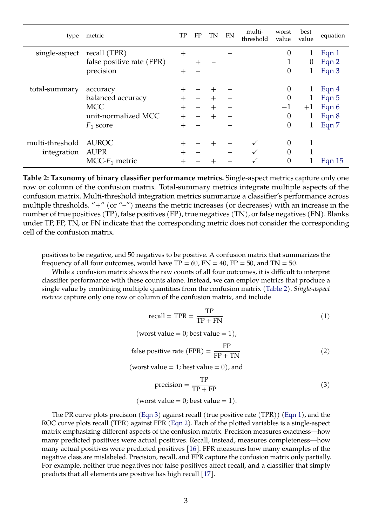| type            | metric                    | TP     | FP              | TN     | <b>FN</b> | multi-<br>threshold | worst<br>value | best<br>value | equation |
|-----------------|---------------------------|--------|-----------------|--------|-----------|---------------------|----------------|---------------|----------|
| single-aspect   | recall (TPR)              | $\pm$  |                 |        |           |                     | 0              | 1             | Eqn 1    |
|                 | false positive rate (FPR) |        | ┿               |        |           |                     |                | $\theta$      | Eqn 2    |
|                 | precision                 | $\pm$  |                 |        |           |                     | $\overline{0}$ | 1             | Eqn 3    |
| total-summary   | accuracy                  |        |                 |        |           |                     | 0              |               | Eqn $4$  |
|                 | balanced accuracy         | $\div$ | $\qquad \qquad$ | $\div$ |           |                     | $\overline{0}$ | 1             | Eqn 5    |
|                 | <b>MCC</b>                | $\div$ |                 | $\pm$  |           |                     | $-1$           | $+1$          | Eqn 6    |
|                 | unit-normalized MCC       | $\div$ |                 | $\pm$  |           |                     | 0              | 1             | Eqn 8    |
|                 | $F_1$ score               | $^{+}$ |                 |        |           |                     | $\overline{0}$ |               | Eqn 7    |
| multi-threshold | <b>AUROC</b>              | ╅      |                 |        |           |                     | 0              |               |          |
| integration     | <b>AUPR</b>               | ┽      |                 |        |           |                     | 0              |               |          |
|                 | $MCC-F_1$ metric          |        |                 |        |           |                     | 0              |               | Eqn $15$ |

<span id="page-2-3"></span>**Table 2: Taxonomy of binary classifier performance metrics.** Single-aspect metrics capture only one row or column of the confusion matrix. Total-summary metrics integrate multiple aspects of the confusion matrix. Multi-threshold integration metrics summarize a classifier's performance across multiple thresholds. "+" (or "-") means the metric increases (or decreases) with an increase in the number of true positives (TP), false positives (FP), true negatives (TN), or false negatives (FN). Blanks under TP, FP, TN, or FN indicate that the corresponding metric does not consider the corresponding cell of the confusion matrix.

positives to be negative, and 50 negatives to be positive. A confusion matrix that summarizes the frequency of all four outcomes, would have  $TP = 60$ ,  $FN = 40$ ,  $FP = 50$ , and  $TN = 50$ .

While a confusion matrix shows the raw counts of all four outcomes, it is difficult to interpret classifier performance with these counts alone. Instead, we can employ metrics that produce a single value by combining multiple quantities from the confusion matrix [\(Table 2\)](#page-2-3). *Single-aspect metrics* capture only one row or column of the confusion matrix, and include

<span id="page-2-0"></span>
$$
recall = TPR = \frac{TP}{TP + FN}
$$
 (1)

$$
(
$$
worst value = 0; best value = 1 $),$ 

<span id="page-2-1"></span>false positive rate (FPR) = 
$$
\frac{FP}{FP + TN}
$$
 (2)

(worst value  $= 1$ ; best value  $= 0$ ), and

<span id="page-2-2"></span>
$$
precision = \frac{TP}{TP + FP}
$$
 (3)

(worst value = 0; best value = 1).

The PR curve plots precision [\(Eqn 3\)](#page-2-2) against recall (true positive rate (TPR)) [\(Eqn 1\)](#page-2-0), and the ROC curve plots recall (TPR) against FPR [\(Eqn 2\)](#page-2-1). Each of the plotted variables is a single-aspect matrix emphasizing different aspects of the confusion matrix. Precision measures exactness—how many predicted positives were actual positives. Recall, instead, measures completeness—how many actual positives were predicted positives [\[16\]](#page-15-5). FPR measures how many examples of the negative class are mislabeled. Precision, recall, and FPR capture the confusion matrix only partially. For example, neither true negatives nor false positives affect recall, and a classifier that simply predicts that all elements are positive has high recall [\[17\]](#page-15-6).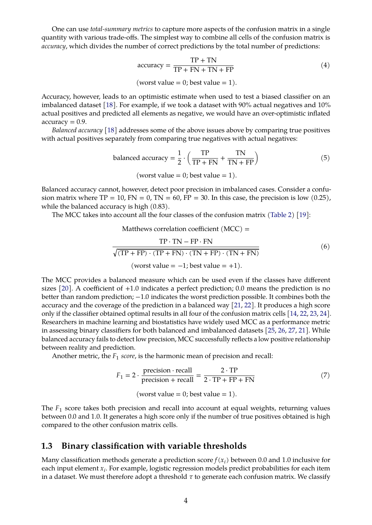One can use *total-summary metrics* to capture more aspects of the confusion matrix in a single quantity with various trade-offs. The simplest way to combine all cells of the confusion matrix is *accuracy*, which divides the number of correct predictions by the total number of predictions:

<span id="page-3-0"></span>
$$
accuracy = \frac{TP + TN}{TP + FN + TN + FP}
$$
 (4)

(worst value = 0; best value = 1).

Accuracy, however, leads to an optimistic estimate when used to test a biased classifier on an imbalanced dataset [\[18\]](#page-15-7). For example, if we took a dataset with 90% actual negatives and 10% actual positives and predicted all elements as negative, we would have an over-optimistic inflated  $accuracy = 0.9$ .

*Balanced accuracy* [\[18\]](#page-15-7) addresses some of the above issues above by comparing true positives with actual positives separately from comparing true negatives with actual negatives:

<span id="page-3-1"></span>balanced accuracy = 
$$
\frac{1}{2} \cdot \left( \frac{TP}{TP + FN} + \frac{TN}{TN + FP} \right)
$$
 (5)

(worst value = 0; best value = 1).

Balanced accuracy cannot, however, detect poor precision in imbalanced cases. Consider a confusion matrix where  $TP = 10$ ,  $FN = 0$ ,  $TN = 60$ ,  $FP = 30$ . In this case, the precision is low (0.25), while the balanced accuracy is high  $(0.83)$ .

The MCC takes into account all the four classes of the confusion matrix [\(Table 2\)](#page-2-3) [\[19\]](#page-15-8):

Matthews correlation coefficient  $(MCC)$  =

<span id="page-3-2"></span>
$$
\frac{TP \cdot TN - FP \cdot FN}{\sqrt{(TP + FP) \cdot (TP + FN) \cdot (TN + FP) \cdot (TN + FN)}}
$$
\n
$$
(\text{worst value} = -1; \text{best value} = +1).
$$
\n(6)

The MCC provides a balanced measure which can be used even if the classes have different sizes  $[20]$ . A coefficient of  $+1.0$  indicates a perfect prediction; 0.0 means the prediction is no better than random prediction; −1.0 indicates the worst prediction possible. It combines both the accuracy and the coverage of the prediction in a balanced way [\[21,](#page-15-10) [22\]](#page-15-11). It produces a high score only if the classifier obtained optimal results in all four of the confusion matrix cells [\[14,](#page-15-3) [22,](#page-15-11) [23,](#page-15-12) [24\]](#page-15-13). Researchers in machine learning and biostatistics have widely used MCC as a performance metric in assessing binary classifiers for both balanced and imbalanced datasets [\[25,](#page-15-14) [26,](#page-15-15) [27,](#page-15-16) [21\]](#page-15-10). While balanced accuracy fails to detect low precision, MCC successfully reflects a low positive relationship between reality and prediction.

Another metric, the  $F_1$  *score,* is the harmonic mean of precision and recall:

<span id="page-3-3"></span>
$$
F_1 = 2 \cdot \frac{\text{precision} \cdot \text{recall}}{\text{precision} + \text{recall}} = \frac{2 \cdot \text{TP}}{2 \cdot \text{TP} + \text{FP} + \text{FN}} \tag{7}
$$

(worst value = 0; best value = 1).

The  $F_1$  score takes both precision and recall into account at equal weights, returning values between 0.0 and 1.0. It generates a high score only if the number of true positives obtained is high compared to the other confusion matrix cells.

#### **1.3 Binary classification with variable thresholds**

Many classification methods generate a prediction score $f(x_i)$  between 0.0 and 1.0 inclusive for each input element  $x_i$ . For example, logistic regression models predict probabilities for each item in a dataset. We must therefore adopt a threshold  $\tau$  to generate each confusion matrix. We classify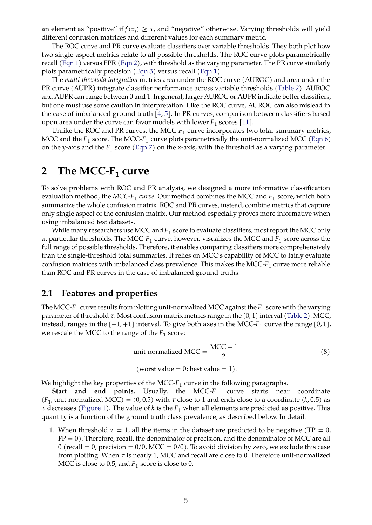an element as "positive" if  $f(x_i) \geq \tau$ , and "negative" otherwise. Varying thresholds will yield different confusion matrices and different values for each summary metric.

The ROC curve and PR curve evaluate classifiers over variable thresholds. They both plot how two single-aspect metrics relate to all possible thresholds. The ROC curve plots parametrically recall [\(Eqn 1\)](#page-2-0) versus FPR [\(Eqn 2\)](#page-2-1), with threshold as the varying parameter. The PR curve similarly plots parametrically precision [\(Eqn 3\)](#page-2-2) versus recall [\(Eqn 1\)](#page-2-0).

The *multi-threshold integration* metrics area under the ROC curve (AUROC) and area under the PR curve (AUPR) integrate classifier performance across variable thresholds [\(Table 2\)](#page-2-3). AUROC and AUPR can range between 0 and 1. In general, larger AUROC or AUPR indicate better classifiers, but one must use some caution in interpretation. Like the ROC curve, AUROC can also mislead in the case of imbalanced ground truth [\[4,](#page-14-3) [5\]](#page-14-4). In PR curves, comparison between classifiers based upon area under the curve can favor models with lower  $F_1$  scores [\[11\]](#page-15-0).

Unlike the ROC and PR curves, the MCC- $F_1$  curve incorporates two total-summary metrics, MCC and the  $F_1$  score. The MCC- $F_1$  curve plots parametrically the unit-normalized MCC [\(Eqn 6\)](#page-3-2) on the y-axis and the  $F_1$  score [\(Eqn 7\)](#page-3-3) on the x-axis, with the threshold as a varying parameter.

# **2 The MCC-F<sup>1</sup> curve**

To solve problems with ROC and PR analysis, we designed a more informative classification evaluation method*,* the MCC-F<sub>1</sub> curve. Our method combines the MCC and F<sub>1</sub> score, which both summarize the whole confusion matrix. ROC and PR curves, instead, combine metrics that capture only single aspect of the confusion matrix. Our method especially proves more informative when using imbalanced test datasets.

While many researchers use MCC and  $F_1$  score to evaluate classifiers, most report the MCC only at particular thresholds. The MCC- $F_1$  curve, however, visualizes the MCC and  $F_1$  score across the full range of possible thresholds. Therefore, it enables comparing classifiers more comprehensively than the single-threshold total summaries. It relies on MCC's capability of MCC to fairly evaluate confusion matrices with imbalanced class prevalence. This makes the MCC- $F_1$  curve more reliable than ROC and PR curves in the case of imbalanced ground truths.

#### **2.1 Features and properties**

The MCC-F<sub>1</sub> curve results from plotting unit-normalized MCC against the F<sub>1</sub> score with the varying parameter of threshold  $\tau$ . Most confusion matrix metrics range in the [0, 1] interval [\(Table 2\)](#page-2-3). MCC, instead, ranges in the  $\left[-1, +1\right]$  interval. To give both axes in the MCC- $F_1$  curve the range  $\left[0, 1\right]$ , we rescale the MCC to the range of the  $F_1$  score:

<span id="page-4-0"></span>unit-normalized MCC = 
$$
\frac{\text{MCC} + 1}{2}
$$
 (8)

(worst value = 0; best value = 1).

We highlight the key properties of the MCC- $F_1$  curve in the following paragraphs.

**Start and end points.** Usually, the MCC- $F_1$  curve starts near coordinate  $(F_1)$ , unit-normalized MCC) = (0,0.5) with  $\tau$  close to 1 and ends close to a coordinate (k,0.5) as  $\tau$  decreases [\(Figure 1\)](#page-5-0). The value of k is the  $F_1$  when all elements are predicted as positive. This quantity is a function of the ground truth class prevalence, as described below. In detail:

1. When threshold  $\tau = 1$ , all the items in the dataset are predicted to be negative (TP = 0,  $FP = 0$ ). Therefore, recall, the denominator of precision, and the denominator of MCC are all  $0$  (recall = 0, precision = 0/0, MCC = 0/0). To avoid division by zero, we exclude this case from plotting. When  $\tau$  is nearly 1, MCC and recall are close to 0. Therefore unit-normalized MCC is close to 0.5, and  $F_1$  score is close to 0.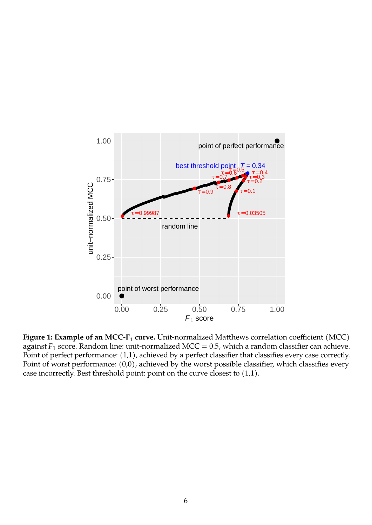

<span id="page-5-0"></span>**Figure 1: Example of an MCC-F<sup>1</sup> curve.** Unit-normalized Matthews correlation coefficient (MCC) against  $F_1$  score. Random line: unit-normalized MCC = 0.5, which a random classifier can achieve. Point of perfect performance: (1,1), achieved by a perfect classifier that classifies every case correctly. Point of worst performance: (0,0), achieved by the worst possible classifier, which classifies every case incorrectly. Best threshold point: point on the curve closest to (1,1).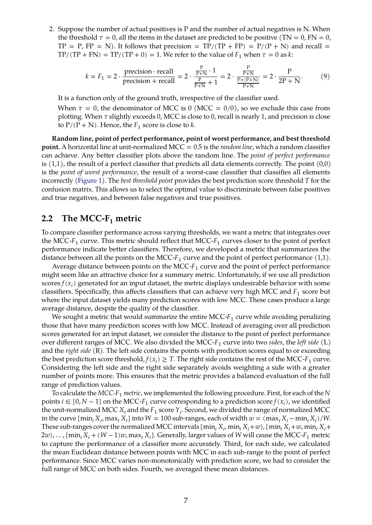2. Suppose the number of actual positives is P and the number of actual negatives is N. When the threshold  $\tau = 0$ , all the items in the dataset are predicted to be positive (TN = 0, FN = 0,  $TP = P$ ,  $FP = N$ ). It follows that precision =  $TP/(TP + FP) = P/(P + N)$  and recall =  $TP/(TP + FN) = TP/(TP + 0) = 1$ . We refer to the value of  $F_1$  when  $\tau = 0$  as k:

$$
k = F_1 = 2 \cdot \frac{\text{precision} \cdot \text{recall}}{\text{precision} + \text{recall}} = 2 \cdot \frac{\frac{P}{P+N} \cdot 1}{\frac{P}{P+N} + 1} = 2 \cdot \frac{\frac{P}{P+N}}{\frac{P+(P+N)}{P+N}} = 2 \cdot \frac{P}{2P+N}.
$$
 (9)

It is a function only of the ground truth, irrespective of the classifier used.

When  $\tau = 0$ , the denominator of MCC is 0 (MCC = 0/0), so we exclude this case from plotting. When  $\tau$  slightly exceeds 0, MCC is close to 0, recall is nearly 1, and precision is close to  $P/(P + N)$ . Hence, the  $F_1$  score is close to k.

**Random line, point of perfect performance, point of worst performance, and best threshold point.** A horizontal line at unit-normalized MCC = 0.5 is the *random line*, which a random classifier can achieve. Any better classifier plots above the random line. The *point of perfect performance* is  $(1,1)$ , the result of a perfect classifier that predicts all data elements correctly. The point  $(0,0)$ is the *point of worst performance*, the result of a worst-case classifier that classifies all elements incorrectly [\(Figure 1\)](#page-5-0). The *best threshold point* provides the best prediction score threshold T for the confusion matrix. This allows us to select the optimal value to discriminate between false positives and true negatives, and between false negatives and true positives.

#### **2.2 The MCC-F<sup>1</sup> metric**

To compare classifier performance across varying thresholds, we want a metric that integrates over the MCC- $F_1$  curve. This metric should reflect that MCC- $F_1$  curves closer to the point of perfect performance indicate better classifiers. Therefore, we developed a metric that summarizes the distance between all the points on the MCC- $F_1$  curve and the point of perfect performance  $(1,1)$ .

Average distance between points on the MCC- $F_1$  curve and the point of perfect performance might seem like an attractive choice for a summary metric. Unfortunately, if we use all prediction  $\text{scores } f(x_i)$  generated for an input dataset, the metric displays undesirable behavior with some classifiers. Specifically, this affects classifiers that can achieve very high MCC and  $F_1$  score but where the input dataset yields many prediction scores with low MCC. These cases produce a large average distance, despite the quality of the classifier.

We sought a metric that would summarize the entire MCC- $F_1$  curve while avoiding penalizing those that have many prediction scores with low MCC. Instead of averaging over all prediction scores generated for an input dataset, we consider the distance to the point of perfect performance over different ranges of MCC. We also divided the MCC- $F_1$  curve into two *sides,* the *left side* (L) and the *right side* (R). The left side contains the points with prediction scores equal to or exceeding the best prediction score threshold,  $f(x_i) \geq T$ . The right side contains the rest of the MCC- $F_1$  curve. Considering the left side and the right side separately avoids weighting a side with a greater number of points more. This ensures that the metric provides a balanced evaluation of the full range of prediction values.

To calculate the  $MCC-F_1$  *metric*, we implemented the following procedure. First, for each of the N points  $i \in [0, N - 1]$  on the MCC- $F_1$  curve corresponding to a prediction score  $f(x_i)$ , we identified the unit-normalized MCC  $X_i$  and the  $F_1$  score  $Y_i$ . Second, we divided the range of normalized MCC in the curve  $[\min_i X_i, \max_i X_i]$  into  $W = 100$  sub-ranges, each of width  $w = (\max_i X_i - \min_i X_i)/W$ . These sub-ranges cover the normalized MCC intervals  $[\min_i X_i, \min_i X_i+w)$ ,  $[\min_i X_i+w, \min_i X_i+w]$ 2w), ... , [min $_i$  X $_i$  + (W  $-$  1) $w$ , max $_i$  X $_i$ ]. Generally, larger values of W will cause the MCC-F $_1$  metric to capture the performance of a classifier more accurately. Third, for each side, we calculated the mean Euclidean distance between points with MCC in each sub-range to the point of perfect performance. Since MCC varies non-monotonically with prediction score, we had to consider the full range of MCC on both sides. Fourth, we averaged these mean distances.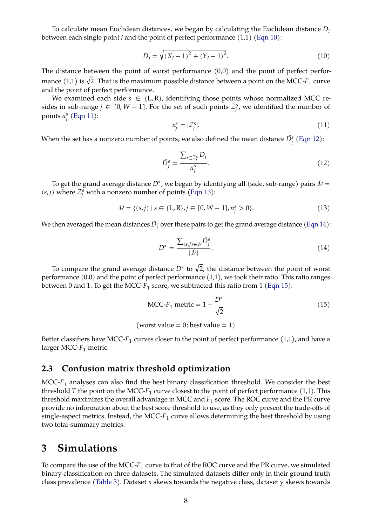To calculate mean Euclidean distances, we began by calculating the Euclidean distance  $D_i$ between each single point  $i$  and the point of perfect performance  $(1,1)$  [\(Eqn 10\)](#page-7-1):

<span id="page-7-1"></span>
$$
D_i = \sqrt{(X_i - 1)^2 + (Y_i - 1)^2}.
$$
\n(10)

The distance between the point of worst performance (0,0) and the point of perfect performance  $(1,1)$  is  $\sqrt{2}$ . That is the maximum possible distance between a point on the MCC- $F_1$  curve and the point of perfect performance.

We examined each side  $s \in \{L, R\}$ , identifying those points whose normalized MCC resides in sub-range  $j \in [0, W - 1]$ . For the set of such points  $\mathcal{Z}_j^s$ , we identified the number of points  $n_j^s$  [\(Eqn 11\)](#page-7-2):

<span id="page-7-2"></span>
$$
n_j^s = |\mathcal{Z}_j^s|. \tag{11}
$$

When the set has a nonzero number of points, we also defined the mean distance  $\bar{D^s_j}$  [\(Eqn 12\)](#page-7-3):

<span id="page-7-3"></span>
$$
\bar{D}_j^s = \frac{\sum_{i \in \mathcal{Z}_j^s} D_i}{n_j^s}.
$$
\n(12)

To get the grand average distance  $D^*$ , we began by identifying all (side, sub-range) pairs  $\mathcal{P} = \mathcal{P}$  $(s, j)$  where  $\mathcal{Z}_j^s$  with a nonzero number of points [\(Eqn 13\)](#page-7-4):

<span id="page-7-4"></span>
$$
\mathcal{P} = \{ (s, j) \mid s \in \{L, R\}, j \in [0, W - 1], n_j^s > 0 \}. \tag{13}
$$

We then averaged the mean distances  $\bar{D^s_j}$  over these pairs to get the grand average distance [\(Eqn 14\)](#page-7-5):

<span id="page-7-5"></span>
$$
D^* = \frac{\sum_{(s,j)\in\mathcal{P}} \bar{D}_j^s}{|\mathcal{P}|}.\tag{14}
$$

To compare the grand average distance  $D^*$  to  $\sqrt{2}$ , the distance between the point of worst performance (0,0) and the point of perfect performance (1,1), we took their ratio. This ratio ranges between 0 and 1. To get the MCC- $F_1$  score, we subtracted this ratio from 1 [\(Eqn 15\)](#page-7-0):

<span id="page-7-0"></span>
$$
\text{MCC-}F_1 \text{ metric} = 1 - \frac{D^*}{\sqrt{2}} \tag{15}
$$

$$
(worst value = 0; best value = 1).
$$

Better classifiers have MCC- $F_1$  curves closer to the point of perfect performance  $(1,1)$ , and have a larger MCC- $F_1$  metric.

### **2.3 Confusion matrix threshold optimization**

 $MCC-F<sub>1</sub>$  analyses can also find the best binary classification threshold. We consider the best threshold T the point on the MCC- $F_1$  curve closest to the point of perfect performance  $(1,1)$ . This threshold maximizes the overall advantage in MCC and  $F_1$  score. The ROC curve and the PR curve provide no information about the best score threshold to use, as they only present the trade-offs of single-aspect metrics. Instead, the MCC- $F_1$  curve allows determining the best threshold by using two total-summary metrics.

## **3 Simulations**

To compare the use of the MCC- $F_1$  curve to that of the ROC curve and the PR curve, we simulated binary classification on three datasets. The simulated datasets differ only in their ground truth class prevalence [\(Table 3\)](#page-9-0). Dataset x skews towards the negative class, dataset y skews towards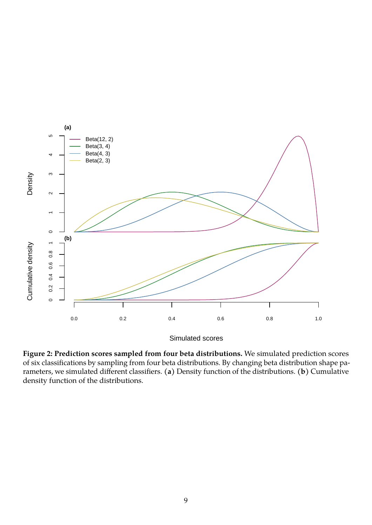

<span id="page-8-0"></span>**Figure 2: Prediction scores sampled from four beta distributions.** We simulated prediction scores of six classifications by sampling from four beta distributions. By changing beta distribution shape parameters, we simulated different classifiers. **(a)** Density function of the distributions. **(b)** Cumulative density function of the distributions.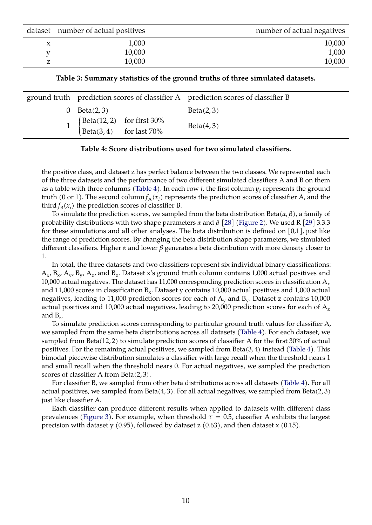| dataset number of actual positives | number of actual negatives |
|------------------------------------|----------------------------|
| 1,000                              | 10,000                     |
| 10,000                             | 1,000                      |
| 10,000                             | 10,000                     |

<span id="page-9-0"></span>**Table 3: Summary statistics of the ground truths of three simulated datasets.**

|          | ground truth prediction scores of classifier A prediction scores of classifier B                                   |           |
|----------|--------------------------------------------------------------------------------------------------------------------|-----------|
| $\Omega$ | Beta(2,3)                                                                                                          | Beta(2,3) |
|          | $\begin{cases} \text{Beta}(12,2) & \text{for first } 30\% \\ \text{Beta}(3,4) & \text{for last } 70\% \end{cases}$ | Beta(4,3) |

#### <span id="page-9-1"></span>**Table 4: Score distributions used for two simulated classifiers.**

the positive class, and dataset z has perfect balance between the two classes. We represented each of the three datasets and the performance of two different simulated classifiers A and B on them as a table with three columns [\(Table 4\)](#page-9-1). In each row  $i$ , the first column  $y_i$  represents the ground truth (0 or 1). The second column $f_{\rm A}(x_i)$  represents the prediction scores of classifier A, and the third  $f_B(x_i)$  the prediction scores of classifier B.

To simulate the prediction scores, we sampled from the beta distribution Beta( $\alpha$ , $\beta$ ), a family of probability distributions with two shape parameters  $\alpha$  and  $\beta$  [\[28\]](#page-15-17) [\(Figure 2\)](#page-8-0). We used R [\[29\]](#page-15-18) 3.3.3 for these simulations and all other analyses. The beta distribution is defined on  $[0,1]$ , just like the range of prediction scores. By changing the beta distribution shape parameters, we simulated different classifiers. Higher  $\alpha$  and lower  $\beta$  generates a beta distribution with more density closer to 1.

In total, the three datasets and two classifiers represent six individual binary classifications:  $\rm A_{x}$ ,  $\rm B_{x}$ ,  $\rm A_{y}$ ,  $\rm B_{y}$ ,  $\rm A_{z}$ , and  $\rm B_{z}$ . Dataset x's ground truth column contains 1,000 actual positives and 10,000 actual negatives. The dataset has 11,000 corresponding prediction scores in classification  $A_x$ and  $11{,}000$  scores in classification  $\text{B}_{\text{x}}$ . Dataset y contains  $10{,}000$  actual positives and  $1{,}000$  actual negatives, leading to 11,000 prediction scores for each of  $\rm A_{y}$  and  $\rm B_{y}$ . Dataset z contains 10,000 actual positives and 10,000 actual negatives, leading to 20,000 prediction scores for each of  $A<sub>z</sub>$ and  $B_z$ .

To simulate prediction scores corresponding to particular ground truth values for classifier A, we sampled from the same beta distributions across all datasets [\(Table 4\)](#page-9-1). For each dataset, we sampled from Beta(12, 2) to simulate prediction scores of classifier A for the first 30% of actual positives. For the remaining actual positives, we sampled from Beta(3, 4) instead [\(Table 4\)](#page-9-1). This bimodal piecewise distribution simulates a classifier with large recall when the threshold nears 1 and small recall when the threshold nears 0. For actual negatives, we sampled the prediction scores of classifier A from Beta(2, 3).

For classifier B, we sampled from other beta distributions across all datasets [\(Table 4\)](#page-9-1). For all actual positives, we sampled from Beta $(4, 3)$ . For all actual negatives, we sampled from Beta $(2, 3)$ just like classifier A.

Each classifier can produce different results when applied to datasets with different class prevalences [\(Figure 3\)](#page-10-0). For example, when threshold  $\tau = 0.5$ , classifier A exhibits the largest precision with dataset y  $(0.95)$ , followed by dataset z  $(0.63)$ , and then dataset x  $(0.15)$ .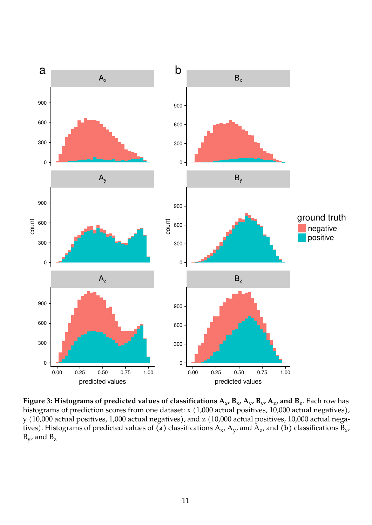

<span id="page-10-0"></span>**Figure 3: Histograms of predicted values of classifications A<sup>x</sup> , B<sup>x</sup> , A<sup>y</sup> , B<sup>y</sup> , A<sup>z</sup> , and B<sup>z</sup>** . Each row has histograms of prediction scores from one dataset: x (1,000 actual positives, 10,000 actual negatives), y (10,000 actual positives, 1,000 actual negatives), and z (10,000 actual positives, 10,000 actual negatives). Histograms of predicted values of  $(\sf a)$  classifications  ${\rm A}_{\sf x}$ ,  ${\rm A}_{\sf y}$ , and  ${\rm A}_{\sf z}$ , and  $(\sf b)$  classifications  ${\rm B}_{\sf x}$ ,  $B_y$ , and  $B_z$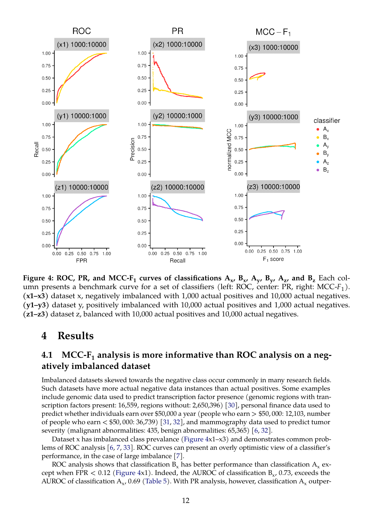

<span id="page-11-0"></span>**Figure 4: ROC, PR, and MCC-F** $_1$  **curves of classifications**  $\mathbf{A_x}$ **,**  $\mathbf{B_x}$ **,**  $\mathbf{A_y}$ **,**  $\mathbf{B_y}$ **,**  $\mathbf{A_z}$ **, and**  $\mathbf{B_z}$  **Each col**umn presents a benchmark curve for a set of classifiers (left: ROC, center: PR, right: MCC- $F_1$ ). **(x1–x3)** dataset x, negatively imbalanced with 1,000 actual positives and 10,000 actual negatives. **(y1–y3)** dataset y, positively imbalanced with 10,000 actual positives and 1,000 actual negatives. **(z1–z3)** dataset z, balanced with 10,000 actual positives and 10,000 actual negatives.

## <span id="page-11-1"></span>**4 Results**

## **4.1 MCC-F<sup>1</sup> analysis is more informative than ROC analysis on a negatively imbalanced dataset**

Imbalanced datasets skewed towards the negative class occur commonly in many research fields. Such datasets have more actual negative data instances than actual positives. Some examples include genomic data used to predict transcription factor presence (genomic regions with transcription factors present: 16,559, regions without: 2,650,396) [\[30\]](#page-15-19), personal finance data used to predict whether individuals earn over \$50,000 a year (people who earn > \$50, 000: 12,103, number of people who earn < \$50, 000: 36,739) [\[31,](#page-16-0) [32\]](#page-16-1), and mammography data used to predict tumor severity (malignant abnormalities: 435, benign abnormalities: 65,365) [\[6,](#page-14-5) [32\]](#page-16-1).

Dataset x has imbalanced class prevalance [\(Figure 4x](#page-11-0)1–x3) and demonstrates common problems of ROC analysis [\[6,](#page-14-5) [7,](#page-14-6) [33\]](#page-16-2). ROC curves can present an overly optimistic view of a classifier's performance, in the case of large imbalance [\[7\]](#page-14-6).

ROC analysis shows that classification  $B_x$  has better performance than classification  $A_x$  except when FPR  $< 0.12$  [\(Figure 4x](#page-11-0)1). Indeed, the AUROC of classification  $B_{x}$ , 0.73, exceeds the AUROC of classification  $\rm A_{x}$ , 0.69 [\(Table 5\)](#page-12-0). With PR analysis, however, classification  $\rm A_{x}$  outper-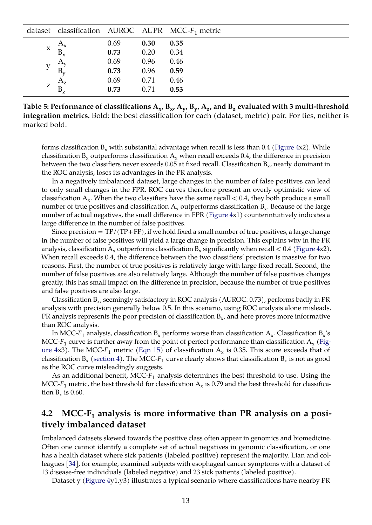|                     |             |      |      | dataset classification AUROC AUPR MCC- $F_1$ metric |
|---------------------|-------------|------|------|-----------------------------------------------------|
|                     | $A_{\rm x}$ | 0.69 | 0.30 | 0.35                                                |
| $\boldsymbol{\chi}$ | $B_{x}$     | 0.73 | 0.20 | 0.34                                                |
|                     | $A_{v}$     | 0.69 | 0.96 | 0.46                                                |
|                     | $B_v$       | 0.73 | 0.96 | 0.59                                                |
|                     | $A_{z}$     | 0.69 | 0.71 | 0.46                                                |
| Z                   | $B_{\rm z}$ | 0.73 | 0.71 | 0.53                                                |

<span id="page-12-0"></span>Table 5: Performance of classifications  $\rm A_{x}$ ,  $\rm B_{x}$ ,  $\rm A_{y}$ ,  $\rm B_{y}$ ,  $\rm A_{z}$ , and  $\rm B_{z}$  evaluated with 3 multi-threshold **integration metrics.** Bold: the best classification for each (dataset, metric) pair. For ties, neither is marked bold.

forms classification  $B_x$  with substantial advantage when recall is less than 0.4 [\(Figure 4x](#page-11-0)2). While classification  $B_x$  outperforms classification  $A_x$  when recall exceeds 0.4, the difference in precision between the two classifiers never exceeds 0.05 at fixed recall. Classification  $B_{x}$ , nearly dominant in the ROC analysis, loses its advantages in the PR analysis.

In a negatively imbalanced dataset, large changes in the number of false positives can lead to only small changes in the FPR. ROC curves therefore present an overly optimistic view of classification  $\rm A_x$ . When the two classifiers have the same recall  $<$  0.4, they both produce a small number of true positives and classification  $\rm A_x$  outperforms classification  $\rm B_x.$  Because of the large number of actual negatives, the small difference in FPR [\(Figure 4x](#page-11-0)1) counterintuitively indicates a large difference in the number of false positives.

Since precision  $= TP/(TP+FP)$ , if we hold fixed a small number of true positives, a large change in the number of false positives will yield a large change in precision. This explains why in the PR analysis, classification  $A_x$  outperforms classification  $B_x$  significantly when recall  $< 0.4$  [\(Figure 4x](#page-11-0)2). When recall exceeds 0.4, the difference between the two classifiers' precision is massive for two reasons. First, the number of true positives is relatively large with large fixed recall. Second, the number of false positives are also relatively large. Although the number of false positives changes greatly, this has small impact on the difference in precision, because the number of true positives and false positives are also large.

Classification  $B_{x}$ , seemingly satisfactory in ROC analysis (AUROC: 0.73), performs badly in PR analysis with precision generally below 0.5. In this scenario, using ROC analysis alone misleads. PR analysis represents the poor precision of classification  $\mathtt{B}_{\mathsf{x}}$ , and here proves more informative than ROC analysis.

In MCC- $F_1$  analysis, classification  $\text{B}_{\text{x}}$  performs worse than classification  $\text{A}_{\text{x}}.$  Classification  $\text{B}_{\text{x}}$ 's MCC-F<sub>1</sub> curve is further away from the point of perfect performance than classification  $\rm A_x$  [\(Fig](#page-11-0)[ure 4x](#page-11-0)3). The MCC- $F_1$  metric [\(Eqn 15\)](#page-7-0) of classification  $A_x$  is 0.35. This score exceeds that of classification  $B_x$  [\(section 4\)](#page-11-1). The MCC- $F_1$  curve clearly shows that classification  $B_x$  is not as good as the ROC curve misleadingly suggests.

As an additional benefit, MCC- $F_1$  analysis determines the best threshold to use. Using the MCC-F $_1$  metric, the best threshold for classification  $\rm A_x$  is 0.79 and the best threshold for classification  $B_x$  is 0.60.

### **4.2 MCC-F<sup>1</sup> analysis is more informative than PR analysis on a positively imbalanced dataset**

Imbalanced datasets skewed towards the positive class often appear in genomics and biomedicine. Often one cannot identify a complete set of actual negatives in genomic classification, or one has a health dataset where sick patients (labeled positive) represent the majority. Lian and colleagues [\[34\]](#page-16-3), for example, examined subjects with esophageal cancer symptoms with a dataset of 13 disease-free individuals (labeled negative) and 23 sick patients (labeled positive).

Dataset y [\(Figure 4y](#page-11-0)1,y3) illustrates a typical scenario where classifications have nearby PR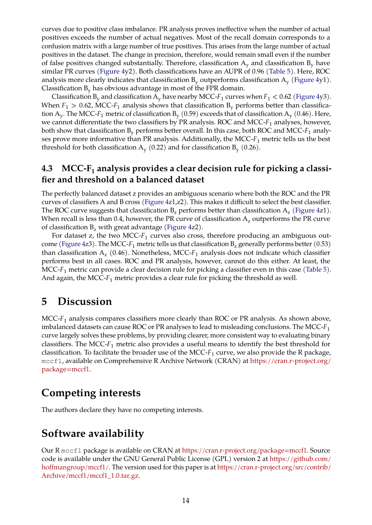curves due to positive class imbalance. PR analysis proves ineffective when the number of actual positives exceeds the number of actual negatives. Most of the recall domain corresponds to a confusion matrix with a large number of true positives. This arises from the large number of actual positives in the dataset. The change in precision, therefore, would remain small even if the number of false positives changed substantially. Therefore, classification  $A_v$  and classification  $B_v$  have similar PR curves [\(Figure 4y](#page-11-0)2). Both classifications have an AUPR of 0.96 [\(Table 5\)](#page-12-0). Here, ROC analysis more clearly indicates that classification  $\mathtt{B}_\mathrm{y}$  outperforms classification  $\mathtt{A}_\mathrm{y}$  [\(Figure 4y](#page-11-0)1). Classification  $B_{v}$  has obvious advantage in most of the FPR domain.

Classification  $B_y$  and classification  $A_y$  have nearby MCC-F<sub>1</sub> curves when  $F_1 < 0.62$  [\(Figure 4y](#page-11-0)3). When  $F_1 > 0.62$ , MCC- $F_1$  analysis shows that classification  $B_y$  performs better than classification  ${\rm A_y}.$  The MCC- $F_1$  metric of classification  ${\rm B_y}$  (0.59) exceeds that of classification  ${\rm A_y}$  (0.46). Here, we cannot differentiate the two classifiers by PR analysis. ROC and MCC- $F_1$  analyses, however, both show that classification  $B_y$  performs better overall. In this case, both ROC and MCC- $F_1$  analyses prove more informative than PR analysis. Additionally, the MCC- $F_1$  metric tells us the best threshold for both classification  $A_y$  (0.22) and for classification  $B_y$  (0.26).

## **4.3 MCC-F<sup>1</sup> analysis provides a clear decision rule for picking a classifier and threshold on a balanced dataset**

The perfectly balanced dataset z provides an ambiguous scenario where both the ROC and the PR curves of classifiers A and B cross [\(Figure 4z](#page-11-0)1,z2). This makes it difficult to select the best classifier. The ROC curve suggests that classification  $\mathtt{B}_\mathtt{z}$  performs better than classification  $\mathtt{A}_\mathtt{z}$  [\(Figure 4z](#page-11-0)1). When recall is less than 0.4, however, the PR curve of classification  $A<sub>z</sub>$  outperforms the PR curve of classification  $B_z$  with great advantage [\(Figure 4z](#page-11-0)2).

For dataset z, the two MCC- $F_1$  curves also cross, therefore producing an ambiguous out-come [\(Figure 4z](#page-11-0)3). The MCC- $F_1$  metric tells us that classification  $B_z$  generally performs better (0.53) than classification  $A_z$  (0.46). Nonetheless, MCC- $F_1$  analysis does not indicate which classifier performs best in all cases. ROC and PR analysis, however, cannot do this either. At least, the MCC- $F_1$  metric can provide a clear decision rule for picking a classifier even in this case [\(Table 5\)](#page-12-0). And again, the MCC- $F_1$  metric provides a clear rule for picking the threshold as well.

## **5 Discussion**

MCC- $F_1$  analysis compares classifiers more clearly than ROC or PR analysis. As shown above, imbalanced datasets can cause ROC or PR analyses to lead to misleading conclusions. The MCC- $F_1$ curve largely solves these problems, by providing clearer, more consistent way to evaluating binary classifiers. The MCC- $F_1$  metric also provides a useful means to identify the best threshold for classification. To facilitate the broader use of the MCC- $F_1$  curve, we also provide the R package, mccf1, available on Comprehensive R Archive Network (CRAN) at [https://cran.r-project.org/](https://cran.r-project.org/package=mccf1) [package=mccf1.](https://cran.r-project.org/package=mccf1)

# **Competing interests**

The authors declare they have no competing interests.

## **Software availability**

Our R mccf1 package is available on CRAN at [https://cran.r-project.org/package=mccf1.](https://cran.r-project.org/package=mccf1) Source code is available under the GNU General Public License (GPL) version 2 at [https://github.com/](https://github.com/hoffmangroup/mccf1/) [hoffmangroup/mccf1/.](https://github.com/hoffmangroup/mccf1/) The version used for this paper is at [https://cran.r-project.org/src/contrib/](https://cran.r-project.org/src/contrib/Archive/mccf1/mccf1_1.0.tar.gz) [Archive/mccf1/mccf1\\_1.0.tar.gz.](https://cran.r-project.org/src/contrib/Archive/mccf1/mccf1_1.0.tar.gz)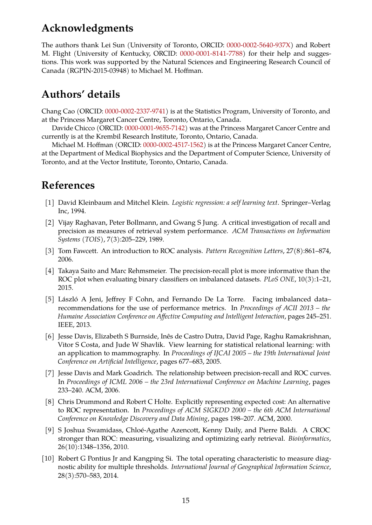# **Acknowledgments**

The authors thank Lei Sun (University of Toronto, ORCID: [0000-0002-5640-937X\)](http://orcid.org/0000-0002-5640-937X) and Robert M. Flight (University of Kentucky, ORCID: [0000-0001-8141-7788\)](http://orcid.org/0000-0001-8141-7788) for their help and suggestions. This work was supported by the Natural Sciences and Engineering Research Council of Canada (RGPIN-2015-03948) to Michael M. Hoffman.

# **Authors' details**

Chang Cao (ORCID: [0000-0002-2337-9741\)](http://orcid.org/0000-0002-2337-9741) is at the Statistics Program, University of Toronto, and at the Princess Margaret Cancer Centre, Toronto, Ontario, Canada.

Davide Chicco (ORCID: [0000-0001-9655-7142\)](http://orcid.org/0000-0001-9655-7142) was at the Princess Margaret Cancer Centre and currently is at the Krembil Research Institute, Toronto, Ontario, Canada.

Michael M. Hoffman (ORCID: [0000-0002-4517-1562\)](http://orcid.org/0000-0002-4517-1562) is at the Princess Margaret Cancer Centre, at the Department of Medical Biophysics and the Department of Computer Science, University of Toronto, and at the Vector Institute, Toronto, Ontario, Canada.

# **References**

- <span id="page-14-0"></span>[1] David Kleinbaum and Mitchel Klein. *Logistic regression: a self learning text*. Springer–Verlag Inc, 1994.
- <span id="page-14-1"></span>[2] Vijay Raghavan, Peter Bollmann, and Gwang S Jung. A critical investigation of recall and precision as measures of retrieval system performance. *ACM Transactions on Information Systems (TOIS)*, 7(3):205–229, 1989.
- <span id="page-14-2"></span>[3] Tom Fawcett. An introduction to ROC analysis. *Pattern Recognition Letters*, 27(8):861–874, 2006.
- <span id="page-14-3"></span>[4] Takaya Saito and Marc Rehmsmeier. The precision-recall plot is more informative than the ROC plot when evaluating binary classifiers on imbalanced datasets. *PLoS ONE*, 10(3):1–21, 2015.
- <span id="page-14-4"></span>[5] László A Jeni, Jeffrey F Cohn, and Fernando De La Torre. Facing imbalanced data– recommendations for the use of performance metrics. In *Proceedings of ACII 2013 – the Humaine Association Conference on Affective Computing and Intelligent Interaction*, pages 245–251. IEEE, 2013.
- <span id="page-14-5"></span>[6] Jesse Davis, Elizabeth S Burnside, Inês de Castro Dutra, David Page, Raghu Ramakrishnan, Vitor S Costa, and Jude W Shavlik. View learning for statistical relational learning: with an application to mammography. In *Proceedings of IJCAI 2005 – the 19th International Joint Conference on Artificial Intelligence*, pages 677–683, 2005.
- <span id="page-14-6"></span>[7] Jesse Davis and Mark Goadrich. The relationship between precision-recall and ROC curves. In *Proceedings of ICML 2006 – the 23rd International Conference on Machine Learning*, pages 233–240. ACM, 2006.
- <span id="page-14-7"></span>[8] Chris Drummond and Robert C Holte. Explicitly representing expected cost: An alternative to ROC representation. In *Proceedings of ACM SIGKDD 2000 – the 6th ACM International Conference on Knowledge Discovery and Data Mining*, pages 198–207. ACM, 2000.
- <span id="page-14-8"></span>[9] S Joshua Swamidass, Chloé-Agathe Azencott, Kenny Daily, and Pierre Baldi. A CROC stronger than ROC: measuring, visualizing and optimizing early retrieval. *Bioinformatics*, 26(10):1348–1356, 2010.
- <span id="page-14-9"></span>[10] Robert G Pontius Jr and Kangping Si. The total operating characteristic to measure diagnostic ability for multiple thresholds. *International Journal of Geographical Information Science*, 28(3):570–583, 2014.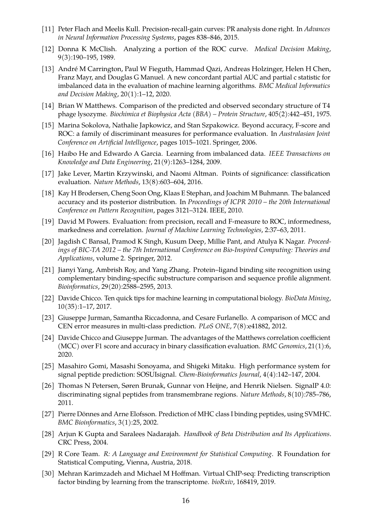- <span id="page-15-0"></span>[11] Peter Flach and Meelis Kull. Precision-recall-gain curves: PR analysis done right. In *Advances in Neural Information Processing Systems*, pages 838–846, 2015.
- <span id="page-15-1"></span>[12] Donna K McClish. Analyzing a portion of the ROC curve. *Medical Decision Making*, 9(3):190–195, 1989.
- <span id="page-15-2"></span>[13] André M Carrington, Paul W Fieguth, Hammad Qazi, Andreas Holzinger, Helen H Chen, Franz Mayr, and Douglas G Manuel. A new concordant partial AUC and partial c statistic for imbalanced data in the evaluation of machine learning algorithms. *BMC Medical Informatics and Decision Making*, 20(1):1–12, 2020.
- <span id="page-15-3"></span>[14] Brian W Matthews. Comparison of the predicted and observed secondary structure of T4 phage lysozyme. *Biochimica et Biophysica Acta (BBA) – Protein Structure*, 405(2):442–451, 1975.
- <span id="page-15-4"></span>[15] Marina Sokolova, Nathalie Japkowicz, and Stan Szpakowicz. Beyond accuracy, F-score and ROC: a family of discriminant measures for performance evaluation. In *Australasian Joint Conference on Artificial Intelligence*, pages 1015–1021. Springer, 2006.
- <span id="page-15-5"></span>[16] Haibo He and Edwardo A Garcia. Learning from imbalanced data. *IEEE Transactions on Knowledge and Data Engineering*, 21(9):1263–1284, 2009.
- <span id="page-15-6"></span>[17] Jake Lever, Martin Krzywinski, and Naomi Altman. Points of significance: classification evaluation. *Nature Methods*, 13(8):603–604, 2016.
- <span id="page-15-7"></span>[18] Kay H Brodersen, Cheng Soon Ong, Klaas E Stephan, and Joachim M Buhmann. The balanced accuracy and its posterior distribution. In *Proceedings of ICPR 2010 – the 20th International Conference on Pattern Recognition*, pages 3121–3124. IEEE, 2010.
- <span id="page-15-8"></span>[19] David M Powers. Evaluation: from precision, recall and F-measure to ROC, informedness, markedness and correlation. *Journal of Machine Learning Technologies*, 2:37–63, 2011.
- <span id="page-15-9"></span>[20] Jagdish C Bansal, Pramod K Singh, Kusum Deep, Millie Pant, and Atulya K Nagar. *Proceedings of BIC-TA 2012 – the 7th International Conference on Bio-Inspired Computing: Theories and Applications*, volume 2. Springer, 2012.
- <span id="page-15-10"></span>[21] Jianyi Yang, Ambrish Roy, and Yang Zhang. Protein–ligand binding site recognition using complementary binding-specific substructure comparison and sequence profile alignment. *Bioinformatics*, 29(20):2588–2595, 2013.
- <span id="page-15-11"></span>[22] Davide Chicco. Ten quick tips for machine learning in computational biology. *BioData Mining*, 10(35):1–17, 2017.
- <span id="page-15-12"></span>[23] Giuseppe Jurman, Samantha Riccadonna, and Cesare Furlanello. A comparison of MCC and CEN error measures in multi-class prediction. *PLoS ONE*, 7(8):e41882, 2012.
- <span id="page-15-13"></span>[24] Davide Chicco and Giuseppe Jurman. The advantages of the Matthews correlation coefficient (MCC) over F1 score and accuracy in binary classification evaluation. *BMC Genomics*, 21(1):6, 2020.
- <span id="page-15-14"></span>[25] Masahiro Gomi, Masashi Sonoyama, and Shigeki Mitaku. High performance system for signal peptide prediction: SOSUIsignal. *Chem-Bioinformatics Journal*, 4(4):142–147, 2004.
- <span id="page-15-15"></span>[26] Thomas N Petersen, Søren Brunak, Gunnar von Heijne, and Henrik Nielsen. SignalP 4.0: discriminating signal peptides from transmembrane regions. *Nature Methods*, 8(10):785–786, 2011.
- <span id="page-15-16"></span>[27] Pierre Dönnes and Arne Elofsson. Prediction of MHC class I binding peptides, using SVMHC. *BMC Bioinformatics*, 3(1):25, 2002.
- <span id="page-15-17"></span>[28] Arjun K Gupta and Saralees Nadarajah. *Handbook of Beta Distribution and Its Applications*. CRC Press, 2004.
- <span id="page-15-18"></span>[29] R Core Team. *R: A Language and Environment for Statistical Computing*. R Foundation for Statistical Computing, Vienna, Austria, 2018.
- <span id="page-15-19"></span>[30] Mehran Karimzadeh and Michael M Hoffman. Virtual ChIP-seq: Predicting transcription factor binding by learning from the transcriptome. *bioRxiv*, 168419, 2019.